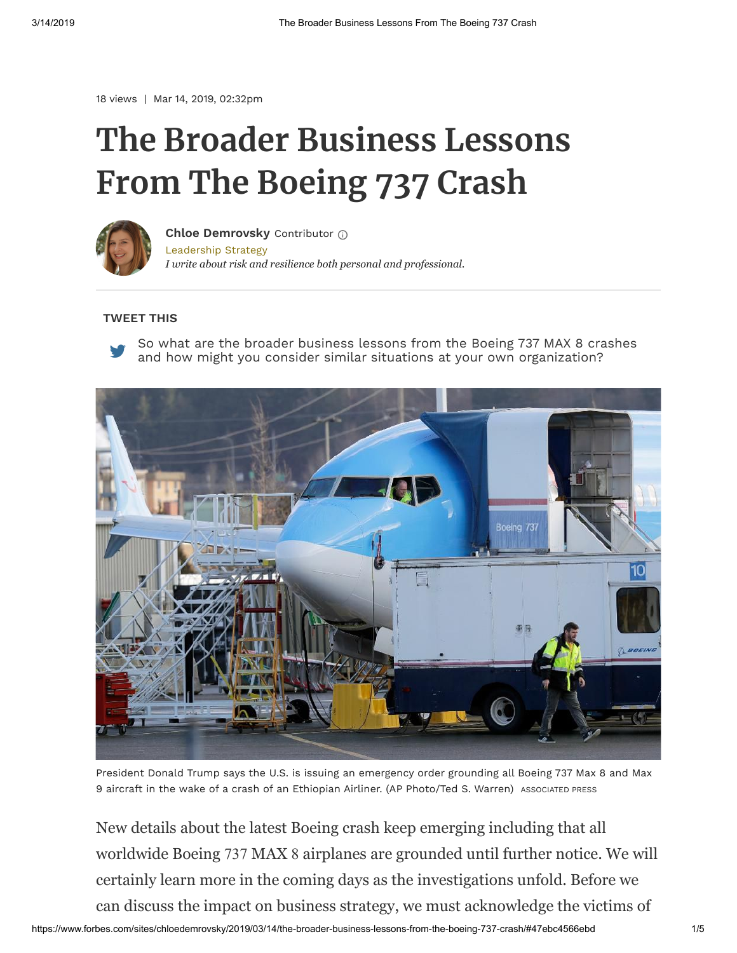18 views | Mar 14, 2019, 02:32pm

# **The Broader Business Lessons From The Boeing 737 Crash**



[Leadership Strategy](https://www.forbes.com/leadership-strategy/) *I write about risk and resilience both personal and professional.* **[Chloe Demrovsky](https://www.forbes.com/sites/chloedemrovsky/)** Contributor

#### **TWEET THIS**



[So what are the broader business lessons from the Boeing 737 MAX 8 crashes](https://twitter.com/intent/tweet?url=http%3A%2F%2Fwww.forbes.com%2Fsites%2Fchloedemrovsky%2F2019%2F03%2F14%2Fthe-broader-business-lessons-from-the-boeing-737-crash%2F&text=What%20are%20the%20broader%20business%20lessons%20from%20the%20Boeing%20737%20MAX%208%20crashes%3F%20What%20should%20you%20do%20at%20your%20own%20organization%3F) and how might you consider similar situations at your own organization?



President Donald Trump says the U.S. is issuing an emergency order grounding all Boeing 737 Max 8 and Max 9 aircraft in the wake of a crash of an Ethiopian Airliner. (AP Photo/Ted S. Warren) ASSOCIATED PRESS

New details about the latest Boeing crash keep emerging including that all worldwide Boeing 737 MAX 8 airplanes are grounded until further notice. We will certainly learn more in the coming days as the investigations unfold. Before we can discuss the impact on business strategy, we must acknowledge the victims of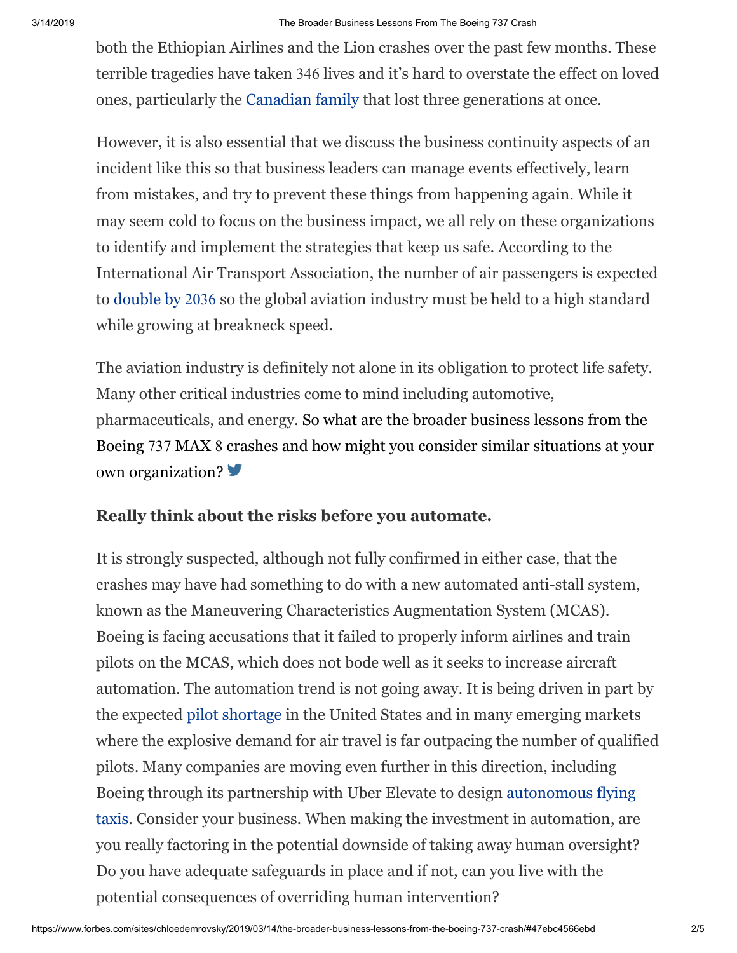both the Ethiopian Airlines and the Lion crashes over the past few months. These terrible tragedies have taken 346 lives and it's hard to overstate the effect on loved ones, particularly the [Canadian family](https://www.reuters.com/article/us-ethiopia-airplane-canada-family/canadian-family-loses-three-generations-in-ethiopian-plane-crash-idUSKCN1QU2VH) that lost three generations at once.

However, it is also essential that we discuss the business continuity aspects of an incident like this so that business leaders can manage events effectively, learn from mistakes, and try to prevent these things from happening again. While it may seem cold to focus on the business impact, we all rely on these organizations to identify and implement the strategies that keep us safe. According to the International Air Transport Association, the number of air passengers is expected to [double by](https://www.iata.org/pressroom/pr/Pages/2017-10-24-01.aspx) 2036 so the global aviation industry must be held to a high standard while growing at breakneck speed.

The aviation industry is definitely not alone in its obligation to protect life safety. Many other critical industries come to mind including automotive, [pharmaceuticals, and energy. So what are the broader business lessons from the](https://twitter.com/intent/tweet?url=http%3A%2F%2Fwww.forbes.com%2Fsites%2Fchloedemrovsky%2F2019%2F03%2F14%2Fthe-broader-business-lessons-from-the-boeing-737-crash%2F&text=What%20are%20the%20broader%20business%20lessons%20from%20the%20Boeing%20737%20MAX%208%20crashes%3F%20What%20should%20you%20do%20at%20your%20own%20organization%3F) Boeing 737 MAX 8 crashes and how might you consider similar situations at your own organization?

### **Really think about the risks before you automate.**

It is strongly suspected, although not fully confirmed in either case, that the crashes may have had something to do with a new automated anti-stall system, known as the Maneuvering Characteristics Augmentation System (MCAS). Boeing is facing accusations that it failed to properly inform airlines and train pilots on the MCAS, which does not bode well as it seeks to increase aircraft automation. The automation trend is not going away. It is being driven in part by the expected [pilot shortage](https://www.flyingmag.com/pilot-shortage-business-aviation) in the United States and in many emerging markets where the explosive demand for air travel is far outpacing the number of qualified pilots. Many companies are moving even further in this direction, including [Boeing through its partnership with Uber Elevate to design autonomous flying](https://www.wired.com/story/boeing-air-taxi-uber/) taxis. Consider your business. When making the investment in automation, are you really factoring in the potential downside of taking away human oversight? Do you have adequate safeguards in place and if not, can you live with the potential consequences of overriding human intervention?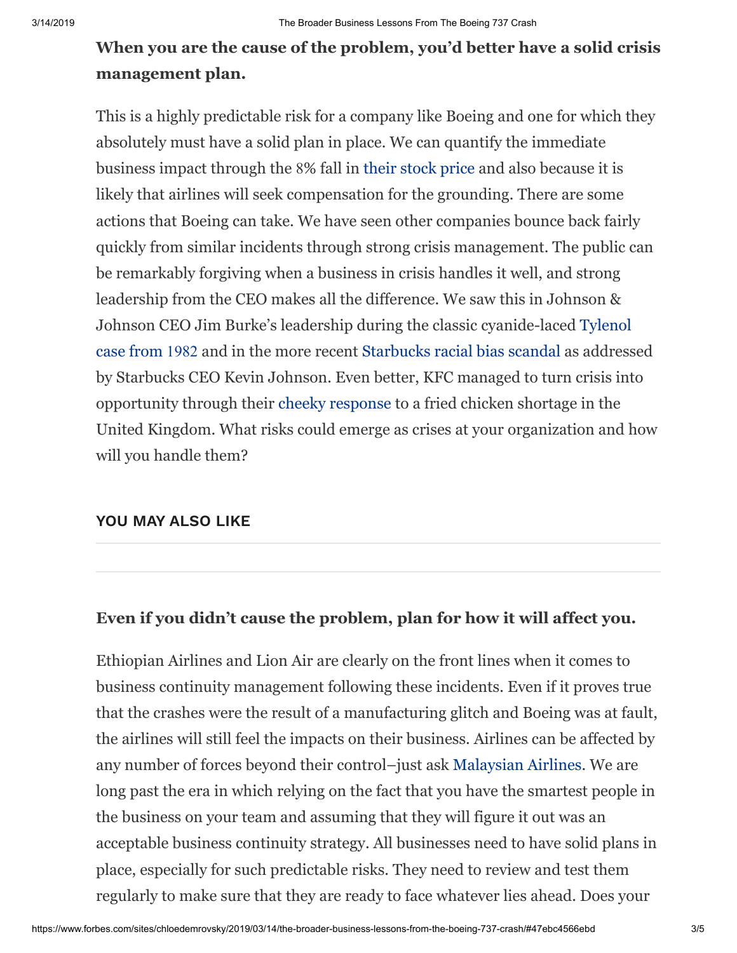## **When you are the cause of the problem, you'd better have a solid crisis management plan.**

This is a highly predictable risk for a company like Boeing and one for which they absolutely must have a solid plan in place. We can quantify the immediate business impact through the 8% fall in [their stock price](https://www.forbes.com/sites/petercohan/2019/03/12/why-boeing-will-weather-the-737-max-8-storm/#3f6d06fd3fd4) and also because it is likely that airlines will seek compensation for the grounding. There are some actions that Boeing can take. We have seen other companies bounce back fairly quickly from similar incidents through strong crisis management. The public can be remarkably forgiving when a business in crisis handles it well, and strong leadership from the CEO makes all the difference. We saw this in Johnson & [Johnson CEO Jim Burke's leadership during the classic cyanide-laced Tylenol](https://www.nytimes.com/1986/02/23/nyregion/tylenol-despite-sharp-disputes-managers-coped.html) case from 1982 and in the more recent [Starbucks racial bias scandal](https://hbswk.hbs.edu/item/op-ed-what-mark-zuckerberg-can-learn-about-crisis-leadership-from-starbucks) as addressed by Starbucks CEO Kevin Johnson. Even better, KFC managed to turn crisis into opportunity through their [cheeky response](https://www.adweek.com/creativity/kfc-responds-to-u-k-chicken-shortage-scandal-with-a-timely-fck-were-sorry/) to a fried chicken shortage in the United Kingdom. What risks could emerge as crises at your organization and how will you handle them?

#### **YOU MAY ALSO LIKE**

#### **Even if you didn't cause the problem, plan for how it will affect you.**

Ethiopian Airlines and Lion Air are clearly on the front lines when it comes to business continuity management following these incidents. Even if it proves true that the crashes were the result of a manufacturing glitch and Boeing was at fault, the airlines will still feel the impacts on their business. Airlines can be affected by any number of forces beyond their control–just ask [Malaysian Airlines.](https://www.bloomberg.com/news/articles/2019-03-12/mahathir-said-he-s-weighing-shutdown-sale-of-malaysia-airlines) We are long past the era in which relying on the fact that you have the smartest people in the business on your team and assuming that they will figure it out was an acceptable business continuity strategy. All businesses need to have solid plans in place, especially for such predictable risks. They need to review and test them regularly to make sure that they are ready to face whatever lies ahead. Does your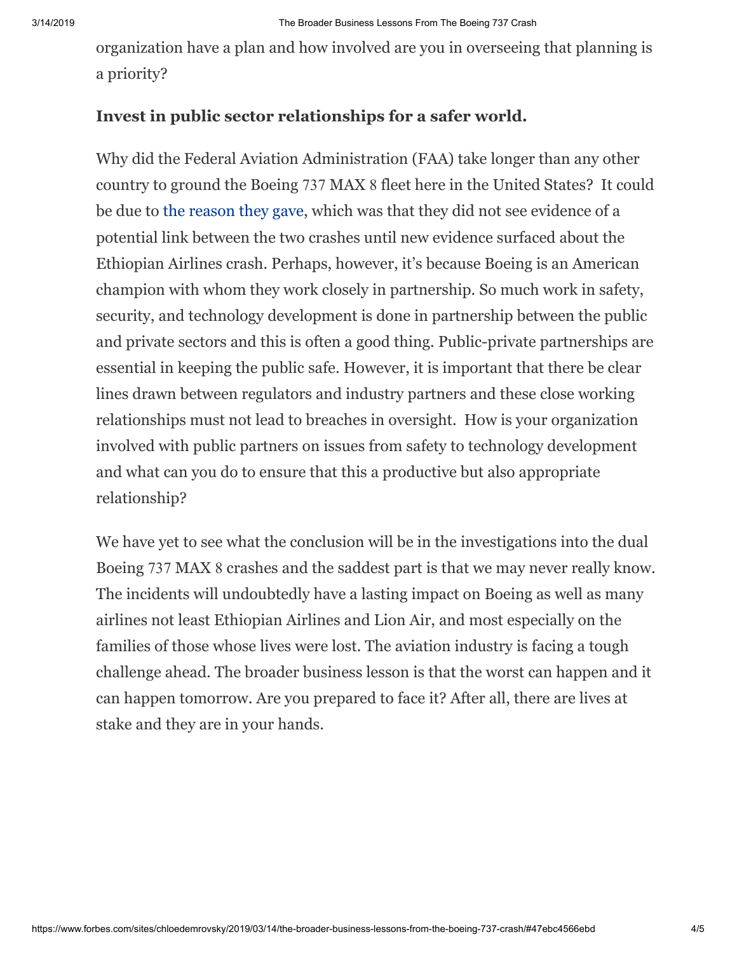organization have a plan and how involved are you in overseeing that planning is a priority?

### **Invest in public sector relationships for a safer world.**

Why did the Federal Aviation Administration (FAA) take longer than any other country to ground the Boeing 737 MAX 8 fleet here in the United States? It could be due to [the reason they gave](https://www.nytimes.com/2019/03/12/business/boeing-flights-grounded.html?action=click&module=inline&pgtype=Homepage), which was that they did not see evidence of a potential link between the two crashes until new evidence surfaced about the Ethiopian Airlines crash. Perhaps, however, it's because Boeing is an American champion with whom they work closely in partnership. So much work in safety, security, and technology development is done in partnership between the public and private sectors and this is often a good thing. Public-private partnerships are essential in keeping the public safe. However, it is important that there be clear lines drawn between regulators and industry partners and these close working relationships must not lead to breaches in oversight. How is your organization involved with public partners on issues from safety to technology development and what can you do to ensure that this a productive but also appropriate relationship?

We have yet to see what the conclusion will be in the investigations into the dual Boeing 737 MAX 8 crashes and the saddest part is that we may never really know. The incidents will undoubtedly have a lasting impact on Boeing as well as many airlines not least Ethiopian Airlines and Lion Air, and most especially on the families of those whose lives were lost. The aviation industry is facing a tough challenge ahead. The broader business lesson is that the worst can happen and it can happen tomorrow. Are you prepared to face it? After all, there are lives at stake and they are in your hands.